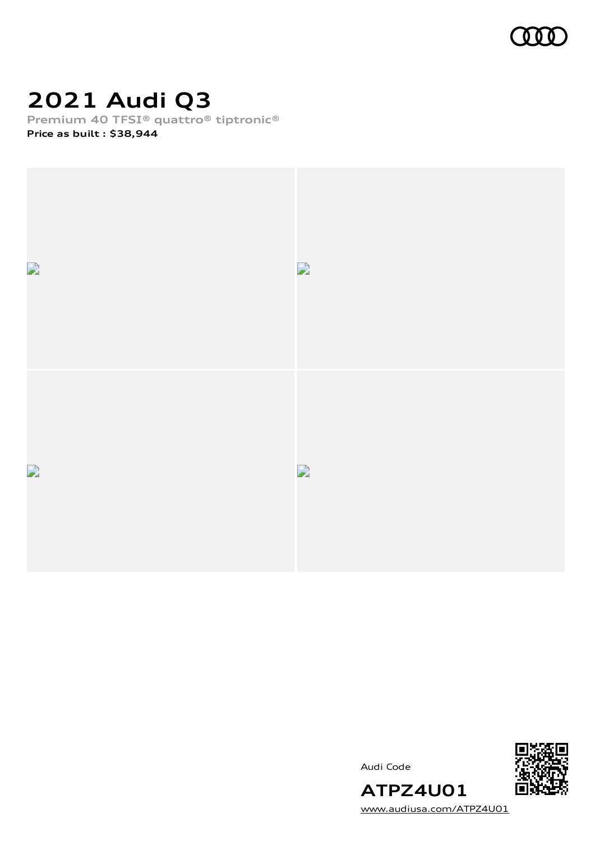

# **2021 Audi Q3**

**Premium 40 TFSI® quattro® tiptronic®**

**Price as built [:](#page-10-0) \$38,944**



Audi Code



[www.audiusa.com/ATPZ4U01](https://www.audiusa.com/ATPZ4U01)

**ATPZ4U01**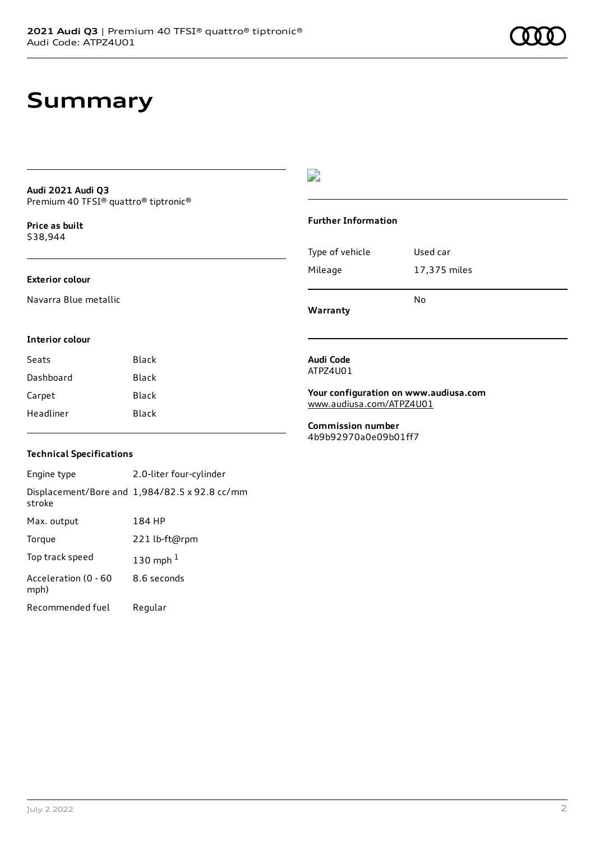### **Summary**

#### **Audi 2021 Audi Q3** Premium 40 TFSI® quattro® tiptronic®

**Price as buil[t](#page-10-0)** \$38,944

#### **Exterior colour**

Navarra Blue metallic

### D

#### **Further Information**

| Mileage | 17,375 miles |
|---------|--------------|
|         | No           |

**Warranty**

#### **Interior colour**

| Seats     | Black |
|-----------|-------|
| Dashboard | Black |
| Carpet    | Black |
| Headliner | Black |

#### **Audi Code** ATPZ4U01

**Your configuration on www.audiusa.com** [www.audiusa.com/ATPZ4U01](https://www.audiusa.com/ATPZ4U01)

**Commission number** 4b9b92970a0e09b01ff7

#### **Technical Specifications**

Engine type 2.0-liter four-cylinder Displacement/Bore and 1,984/82.5 x 92.8 cc/mm stroke Max. output 184 HP Torque 221 lb-ft@rpm Top track speed [1](#page-10-0)30 mph $<sup>1</sup>$ </sup> Acceleration (0 - 60 mph) 8.6 seconds Recommended fuel Regular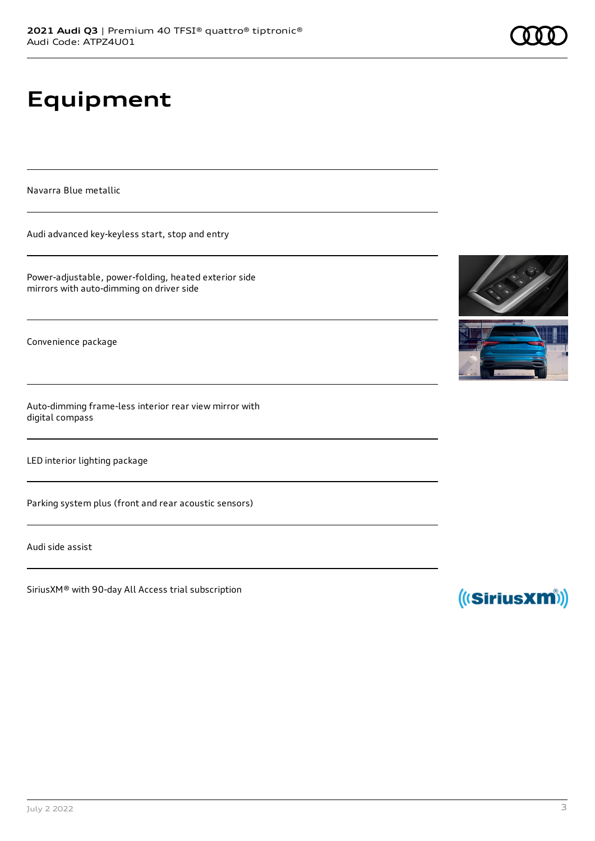# **Equipment**

Navarra Blue metallic

Audi advanced key-keyless start, stop and entry

Power-adjustable, power-folding, heated exterior side mirrors with auto-dimming on driver side

Convenience package

Auto-dimming frame-less interior rear view mirror with digital compass

LED interior lighting package

Parking system plus (front and rear acoustic sensors)

Audi side assist

SiriusXM® with 90-day All Access trial subscription





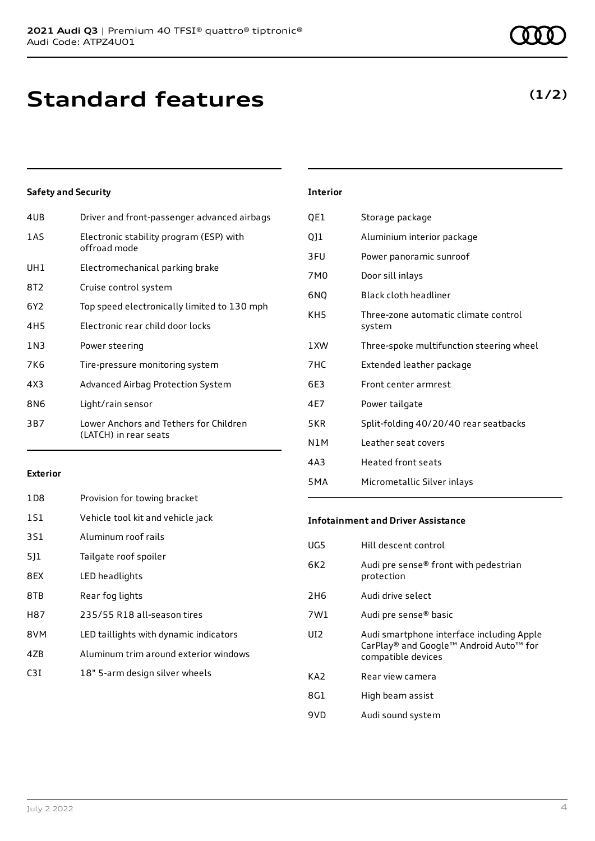## **Standard features**

| 4UB             | Driver and front-passenger advanced airbags                     |
|-----------------|-----------------------------------------------------------------|
| 1AS             | Electronic stability program (ESP) with<br>offroad mode         |
| UH1             | Electromechanical parking brake                                 |
| 8T2             | Cruise control system                                           |
| 6Y2             | Top speed electronically limited to 130 mph                     |
| 4H <sub>5</sub> | Electronic rear child door locks                                |
| 1 N 3           | Power steering                                                  |
| 7K6             | Tire-pressure monitoring system                                 |
| 4X3             | Advanced Airbag Protection System                               |
| 8N6             | Light/rain sensor                                               |
| 3B7             | Lower Anchors and Tethers for Children<br>(LATCH) in rear seats |
|                 |                                                                 |

| <b>Interior</b> |                                                |
|-----------------|------------------------------------------------|
| QE1             | Storage package                                |
| Q11             | Aluminium interior package                     |
| 3FU             | Power panoramic sunroof                        |
| 7M0             | Door sill inlays                               |
| 6NQ             | Black cloth headliner                          |
| KH5             | Three-zone automatic climate control<br>system |
| 1 XW            | Three-spoke multifunction steering wheel       |
| 7HC             | Extended leather package                       |
| 6F3             | Front center armrest                           |
| 4F7             | Power tailgate                                 |
| 5KR             | Split-folding 40/20/40 rear seatbacks          |
| N1M             | Leather seat covers                            |
| 4A3             | <b>Heated front seats</b>                      |

#### **Exterior**

| 1D <sub>8</sub> | Provision for towing bracket           |
|-----------------|----------------------------------------|
| 1S1             | Vehicle tool kit and vehicle jack      |
| 3S1             | Aluminum roof rails                    |
| 511             | Tailgate roof spoiler                  |
| 8EX             | LED headlights                         |
| 8TB             | Rear fog lights                        |
| H87             | 235/55 R18 all-season tires            |
| 8VM             | LED taillights with dynamic indicators |
| 47B             | Aluminum trim around exterior windows  |
| C3T             | 18" 5-arm design silver wheels         |
|                 |                                        |

#### **Infotainment and Driver Assistance**

5MA Micrometallic Silver inlays

| UG5             | Hill descent control                                                                                      |
|-----------------|-----------------------------------------------------------------------------------------------------------|
| 6K <sub>2</sub> | Audi pre sense® front with pedestrian<br>protection                                                       |
| 2H <sub>6</sub> | Audi drive select                                                                                         |
| 7W1             | Audi pre sense® basic                                                                                     |
| UI <sub>2</sub> | Audi smartphone interface including Apple<br>CarPlay® and Google™ Android Auto™ for<br>compatible devices |
| KA <sub>2</sub> | Rear view camera                                                                                          |
| 8G1             | High beam assist                                                                                          |
| 9VD             | Audi sound system                                                                                         |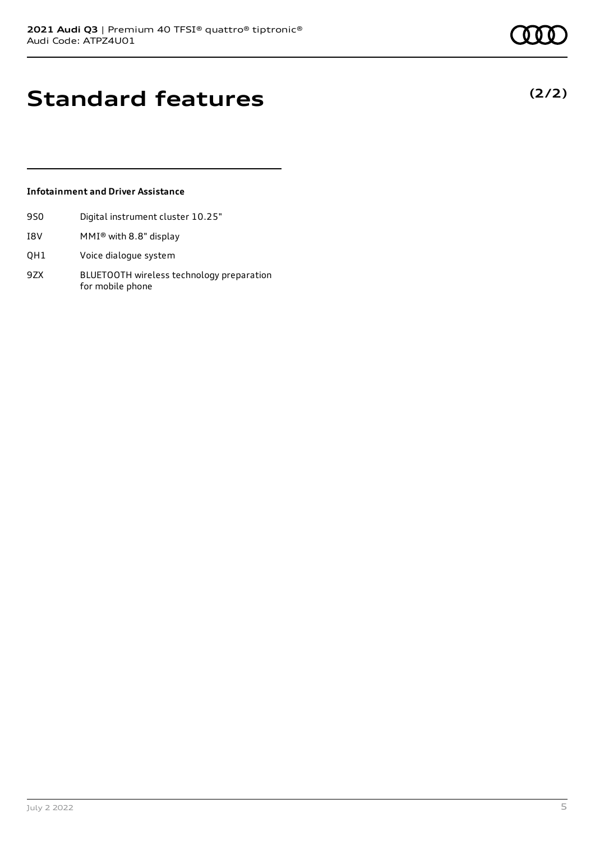**(2/2)**

### **Standard features**

#### **Infotainment and Driver Assistance**

- 9S0 Digital instrument cluster 10.25"
- I8V MMI® with 8.8" display
- QH1 Voice dialogue system
- 9ZX BLUETOOTH wireless technology preparation for mobile phone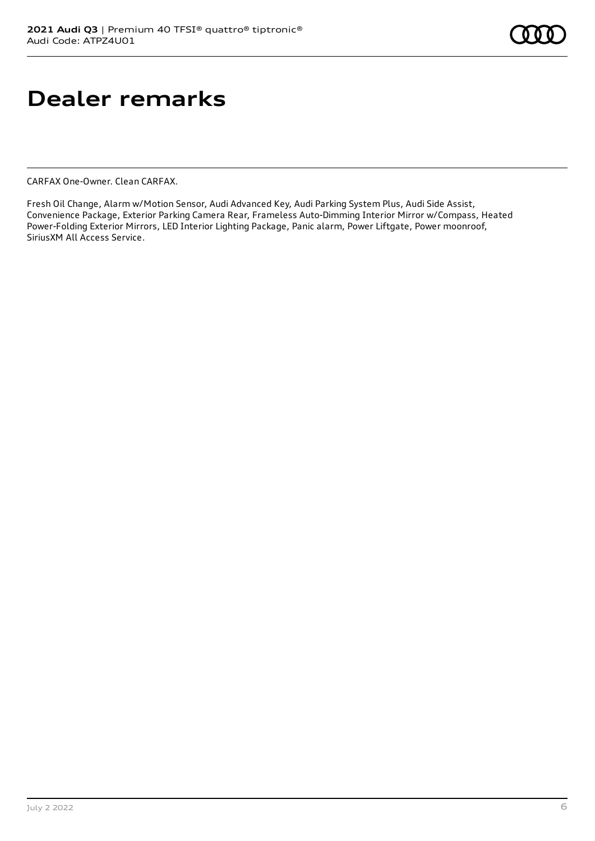# **Dealer remarks**

CARFAX One-Owner. Clean CARFAX.

Fresh Oil Change, Alarm w/Motion Sensor, Audi Advanced Key, Audi Parking System Plus, Audi Side Assist, Convenience Package, Exterior Parking Camera Rear, Frameless Auto-Dimming Interior Mirror w/Compass, Heated Power-Folding Exterior Mirrors, LED Interior Lighting Package, Panic alarm, Power Liftgate, Power moonroof, SiriusXM All Access Service.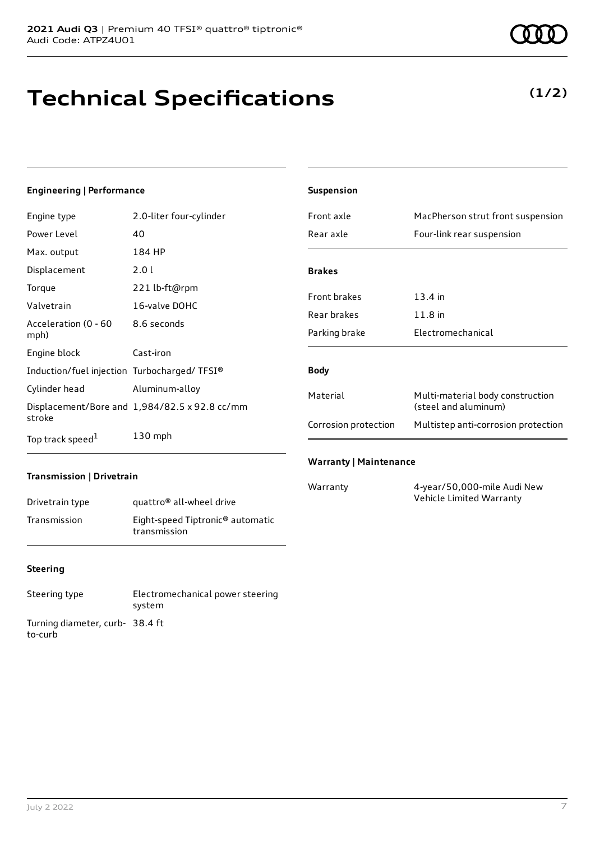# **Technical Specifications**

#### **Engineering | Performance**

| Engine type                                 | 2.0-liter four-cylinder                       |
|---------------------------------------------|-----------------------------------------------|
| Power Level                                 | 40                                            |
| Max. output                                 | 184 HP                                        |
| Displacement                                | 2.0 L                                         |
| Torque                                      | 221 lb-ft@rpm                                 |
| Valvetrain                                  | 16-valve DOHC                                 |
| Acceleration (0 - 60<br>mph)                | 8.6 seconds                                   |
| Engine block                                | Cast-iron                                     |
| Induction/fuel injection Turbocharged/TFSI® |                                               |
| Cylinder head                               | Aluminum-alloy                                |
| stroke                                      | Displacement/Bore and 1,984/82.5 x 92.8 cc/mm |
| Top track speed <sup>1</sup>                | $130$ mph                                     |

| Front axle                    | MacPherson strut front suspension                        |
|-------------------------------|----------------------------------------------------------|
| Rear axle                     | Four-link rear suspension                                |
|                               |                                                          |
| <b>Brakes</b>                 |                                                          |
| <b>Front brakes</b>           | 13.4 in                                                  |
| Rear brakes                   | $11.8$ in                                                |
| Parking brake                 | Electromechanical                                        |
|                               |                                                          |
| <b>Body</b>                   |                                                          |
| Material                      | Multi-material body construction<br>(steel and aluminum) |
| Corrosion protection          | Multistep anti-corrosion protection                      |
|                               |                                                          |
| <b>Warranty   Maintenance</b> |                                                          |

#### **Transmission | Drivetrain**

| Drivetrain type | quattro <sup>®</sup> all-wheel drive                         |
|-----------------|--------------------------------------------------------------|
| Transmission    | Eight-speed Tiptronic <sup>®</sup> automatic<br>transmission |

#### **Steering**

Steering type Electromechanical power steering system Turning diameter, curb-38.4 ft to-curb

**Suspension**

Warranty 4-year/50,000-mile Audi New Vehicle Limited Warranty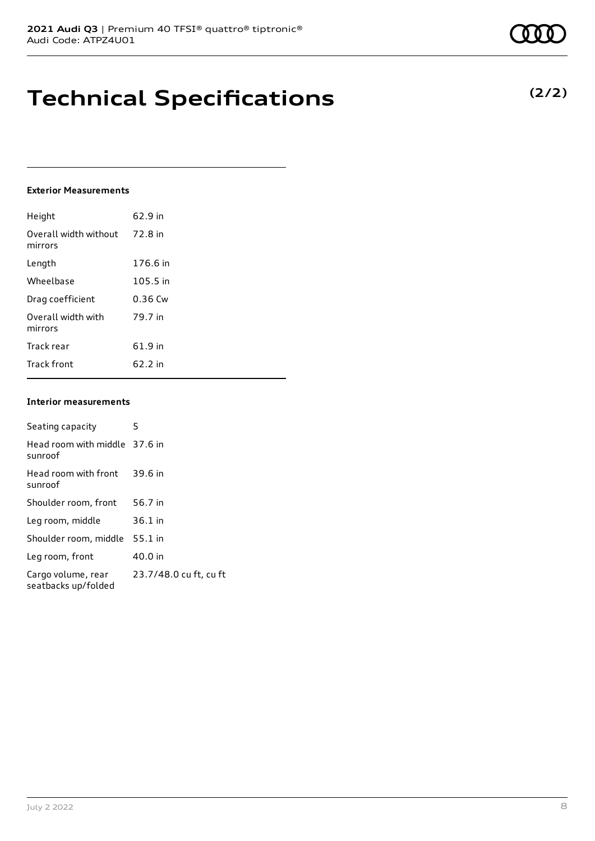### **Technical Specifications**

#### **Exterior Measurements**

| Height                           | 62.9 in   |
|----------------------------------|-----------|
| Overall width without<br>mirrors | 72.8 in   |
| Length                           | 176.6 in  |
| Wheelbase                        | 105.5 in  |
| Drag coefficient                 | $0.36$ Cw |
| Overall width with<br>mirrors    | 79.7 in   |
| Track rear                       | 61.9 in   |
| <b>Track front</b>               | 62.2 in   |

#### **Interior measurements**

| Seating capacity                          | 5                      |
|-------------------------------------------|------------------------|
| Head room with middle 37.6 in<br>sunroof  |                        |
| Head room with front<br>sunroof           | 39.6 in                |
| Shoulder room, front                      | 56.7 in                |
| Leg room, middle                          | $36.1$ in              |
| Shoulder room, middle                     | $55.1$ in              |
| Leg room, front                           | 40.0 in                |
| Cargo volume, rear<br>seatbacks up/folded | 23.7/48.0 cu ft, cu ft |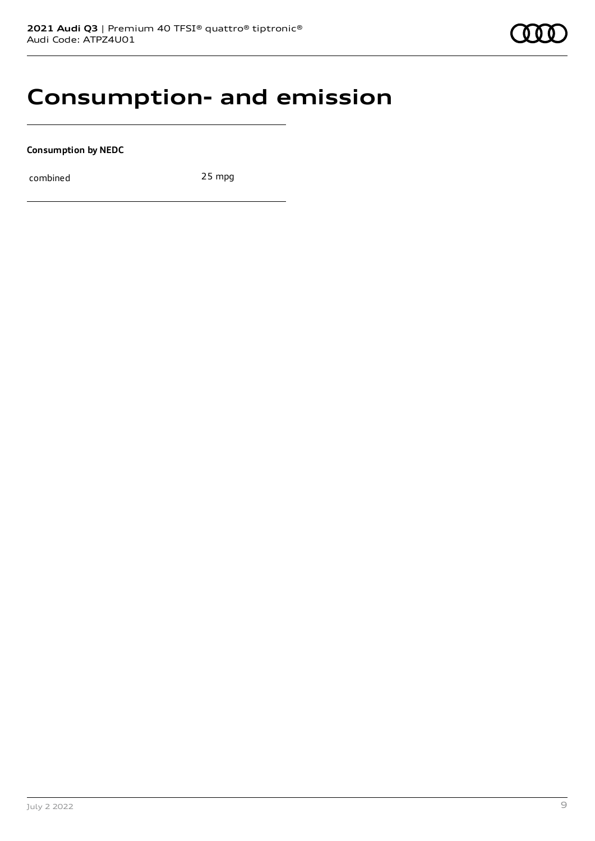### **Consumption- and emission**

**Consumption by NEDC**

combined 25 mpg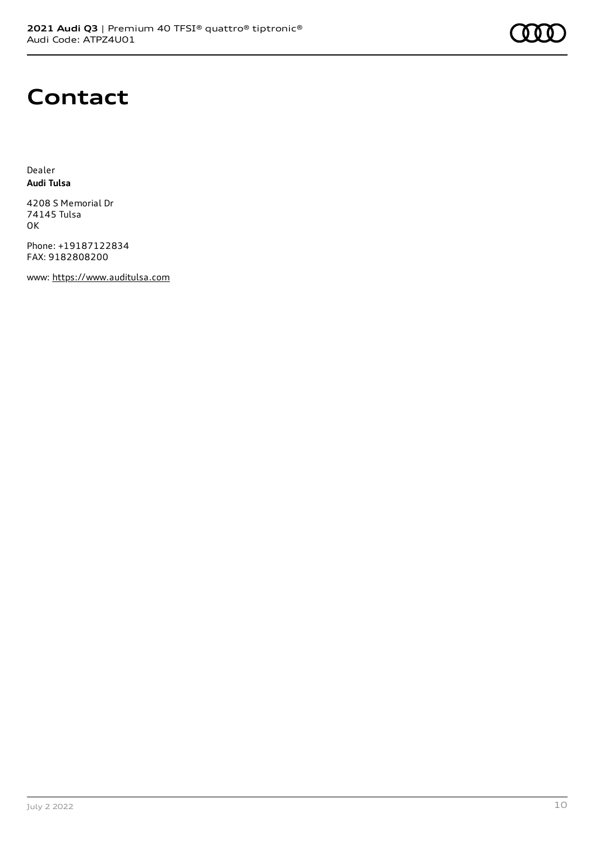### **Contact**

Dealer **Audi Tulsa**

4208 S Memorial Dr 74145 Tulsa OK

Phone: +19187122834 FAX: 9182808200

www: [https://www.auditulsa.com](https://www.auditulsa.com/)